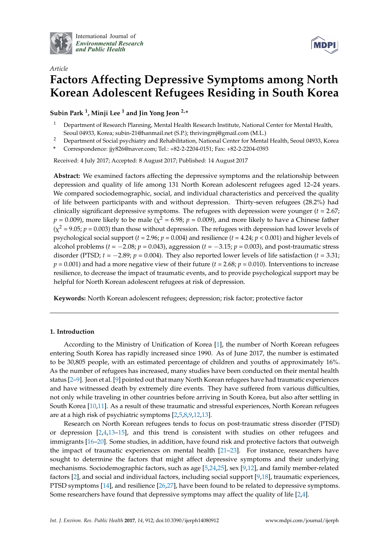

International Journal of *[Environmental Research](http://www.mdpi.com/journal/ijerph) and Public Health*



# *Article* **Factors Affecting Depressive Symptoms among North Korean Adolescent Refugees Residing in South Korea**

**Subin Park <sup>1</sup> , Minji Lee <sup>1</sup> and Jin Yong Jeon 2,\***

- <sup>1</sup> Department of Research Planning, Mental Health Research Institute, National Center for Mental Health, Seoul 04933, Korea; subin-21@hanmail.net (S.P.); thrivingmj@gmail.com (M.L.)
- <sup>2</sup> Department of Social psychiatry and Rehabilitation, National Center for Mental Health, Seoul 04933, Korea
- **\*** Correspondence: jjy826@naver.com; Tel.: +82-2-2204-0151; Fax: +82-2-2204-0393

Received: 4 July 2017; Accepted: 8 August 2017; Published: 14 August 2017

**Abstract:** We examined factors affecting the depressive symptoms and the relationship between depression and quality of life among 131 North Korean adolescent refugees aged 12–24 years. We compared sociodemographic, social, and individual characteristics and perceived the quality of life between participants with and without depression. Thirty-seven refugees (28.2%) had clinically significant depressive symptoms. The refugees with depression were younger (*t* = 2.67;  $p = 0.009$ ), more likely to be male ( $\chi^2 = 6.98$ ;  $p = 0.009$ ), and more likely to have a Chinese father  $(\chi^2 = 9.05; p = 0.003)$  than those without depression. The refugees with depression had lower levels of psychological social support (*t* = 2.96; *p* = 0.004) and resilience (*t* = 4.24; *p* < 0.001) and higher levels of alcohol problems (*t* = −2.08; *p* = 0.043), aggression (*t* = −3.15; *p* = 0.003), and post-traumatic stress disorder (PTSD;  $t = -2.89$ ;  $p = 0.004$ ). They also reported lower levels of life satisfaction ( $t = 3.31$ ;  $p = 0.001$ ) and had a more negative view of their future ( $t = 2.68$ ;  $p = 0.010$ ). Interventions to increase resilience, to decrease the impact of traumatic events, and to provide psychological support may be helpful for North Korean adolescent refugees at risk of depression.

**Keywords:** North Korean adolescent refugees; depression; risk factor; protective factor

# **1. Introduction**

According to the Ministry of Unification of Korea [\[1\]](#page-7-0), the number of North Korean refugees entering South Korea has rapidly increased since 1990. As of June 2017, the number is estimated to be 30,805 people, with an estimated percentage of children and youths of approximately 16%. As the number of refugees has increased, many studies have been conducted on their mental health status [\[2](#page-7-1)[–9\]](#page-8-0). Jeon et al. [\[9\]](#page-8-0) pointed out that many North Korean refugees have had traumatic experiences and have witnessed death by extremely dire events. They have suffered from various difficulties, not only while traveling in other countries before arriving in South Korea, but also after settling in South Korea [\[10](#page-8-1)[,11\]](#page-8-2). As a result of these traumatic and stressful experiences, North Korean refugees are at a high risk of psychiatric symptoms [\[2](#page-7-1)[,5](#page-7-2)[,8](#page-8-3)[,9](#page-8-0)[,12](#page-8-4)[,13\]](#page-8-5).

Research on North Korean refugees tends to focus on post-traumatic stress disorder (PTSD) or depression [\[2](#page-7-1)[,4](#page-7-3)[,13–](#page-8-5)[15\]](#page-8-6), and this trend is consistent with studies on other refugees and immigrants [\[16–](#page-8-7)[20\]](#page-8-8). Some studies, in addition, have found risk and protective factors that outweigh the impact of traumatic experiences on mental health [\[21](#page-8-9)[–23\]](#page-8-10). For instance, researchers have sought to determine the factors that might affect depressive symptoms and their underlying mechanisms. Sociodemographic factors, such as age [\[5](#page-7-2)[,24,](#page-8-11)[25\]](#page-8-12), sex [\[9,](#page-8-0)[12\]](#page-8-4), and family member-related factors [\[2\]](#page-7-1), and social and individual factors, including social support [\[9,](#page-8-0)[18\]](#page-8-13), traumatic experiences, PTSD symptoms [\[14\]](#page-8-14), and resilience [\[26,](#page-8-15)[27\]](#page-8-16), have been found to be related to depressive symptoms. Some researchers have found that depressive symptoms may affect the quality of life [\[2,](#page-7-1)[4\]](#page-7-3).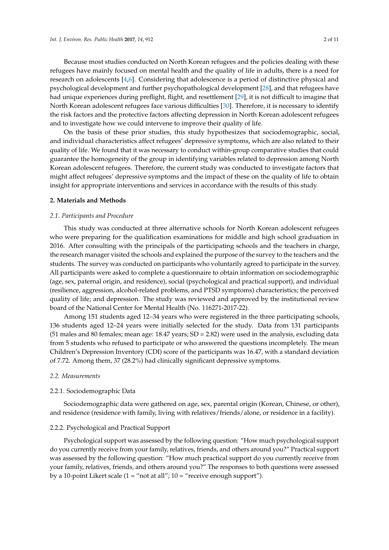Because most studies conducted on North Korean refugees and the policies dealing with these refugees have mainly focused on mental health and the quality of life in adults, there is a need for research on adolescents [\[4](#page-7-3)[,6\]](#page-7-4). Considering that adolescence is a period of distinctive physical and psychological development and further psychopathological development [\[28\]](#page-8-17), and that refugees have had unique experiences during preflight, flight, and resettlement [\[29\]](#page-8-18), it is not difficult to imagine that North Korean adolescent refugees face various difficulties [\[30\]](#page-9-0). Therefore, it is necessary to identify the risk factors and the protective factors affecting depression in North Korean adolescent refugees and to investigate how we could intervene to improve their quality of life.

On the basis of these prior studies, this study hypothesizes that sociodemographic, social, and individual characteristics affect refugees' depressive symptoms, which are also related to their quality of life. We found that it was necessary to conduct within-group comparative studies that could guarantee the homogeneity of the group in identifying variables related to depression among North Korean adolescent refugees. Therefore, the current study was conducted to investigate factors that might affect refugees' depressive symptoms and the impact of these on the quality of life to obtain insight for appropriate interventions and services in accordance with the results of this study.

#### **2. Materials and Methods**

#### *2.1. Participants and Procedure*

This study was conducted at three alternative schools for North Korean adolescent refugees who were preparing for the qualification examinations for middle and high school graduation in 2016. After consulting with the principals of the participating schools and the teachers in charge, the research manager visited the schools and explained the purpose of the survey to the teachers and the students. The survey was conducted on participants who voluntarily agreed to participate in the survey. All participants were asked to complete a questionnaire to obtain information on sociodemographic (age, sex, paternal origin, and residence), social (psychological and practical support), and individual (resilience, aggression, alcohol-related problems, and PTSD symptoms) characteristics; the perceived quality of life; and depression. The study was reviewed and approved by the institutional review board of the National Center for Mental Health (No. 116271-2017-22).

Among 151 students aged 12–34 years who were registered in the three participating schools, 136 students aged 12–24 years were initially selected for the study. Data from 131 participants (51 males and 80 females; mean age: 18.47 years; SD = 2.82) were used in the analysis, excluding data from 5 students who refused to participate or who answered the questions incompletely. The mean Children's Depression Inventory (CDI) score of the participants was 16.47, with a standard deviation of 7.72. Among them, 37 (28.2%) had clinically significant depressive symptoms.

#### *2.2. Measurements*

## 2.2.1. Sociodemographic Data

Sociodemographic data were gathered on age, sex, parental origin (Korean, Chinese, or other), and residence (residence with family, living with relatives/friends/alone, or residence in a facility).

#### 2.2.2. Psychological and Practical Support

Psychological support was assessed by the following question: "How much psychological support do you currently receive from your family, relatives, friends, and others around you?" Practical support was assessed by the following question: "How much practical support do you currently receive from your family, relatives, friends, and others around you?" The responses to both questions were assessed by a 10-point Likert scale (1 = "not at all"; 10 = "receive enough support").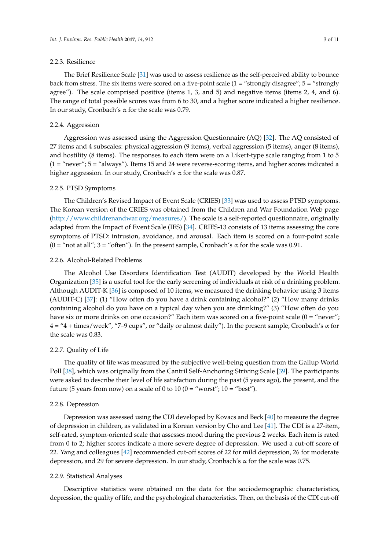## 2.2.3. Resilience

The Brief Resilience Scale [\[31\]](#page-9-1) was used to assess resilience as the self-perceived ability to bounce back from stress. The six items were scored on a five-point scale  $(1 = "strongly disappear; 5 = "strongly$ agree"). The scale comprised positive (items 1, 3, and 5) and negative items (items 2, 4, and 6). The range of total possible scores was from 6 to 30, and a higher score indicated a higher resilience. In our study, Cronbach's  $\alpha$  for the scale was 0.79.

## 2.2.4. Aggression

Aggression was assessed using the Aggression Questionnaire (AQ) [\[32\]](#page-9-2). The AQ consisted of 27 items and 4 subscales: physical aggression (9 items), verbal aggression (5 items), anger (8 items), and hostility (8 items). The responses to each item were on a Likert-type scale ranging from 1 to 5 (1 = "never"; 5 = "always"). Items 15 and 24 were reverse-scoring items, and higher scores indicated a higher aggression. In our study, Cronbach's α for the scale was 0.87.

## 2.2.5. PTSD Symptoms

The Children's Revised Impact of Event Scale (CRIES) [\[33\]](#page-9-3) was used to assess PTSD symptoms. The Korean version of the CRIES was obtained from the Children and War Foundation Web page [\(http://www.childrenandwar.org/measures/\)](http://www.childrenandwar.org/measures/). The scale is a self-reported questionnaire, originally adapted from the Impact of Event Scale (IES) [\[34\]](#page-9-4). CRIES-13 consists of 13 items assessing the core symptoms of PTSD: intrusion, avoidance, and arousal. Each item is scored on a four-point scale (0 = "not at all"; 3 = "often"). In the present sample, Cronbach's  $\alpha$  for the scale was 0.91.

## 2.2.6. Alcohol-Related Problems

The Alcohol Use Disorders Identification Test (AUDIT) developed by the World Health Organization [\[35\]](#page-9-5) is a useful tool for the early screening of individuals at risk of a drinking problem. Although AUDIT-K [\[36\]](#page-9-6) is composed of 10 items, we measured the drinking behavior using 3 items (AUDIT-C) [\[37\]](#page-9-7): (1) "How often do you have a drink containing alcohol?" (2) "How many drinks containing alcohol do you have on a typical day when you are drinking?" (3) "How often do you have six or more drinks on one occasion?" Each item was scored on a five-point scale (0 = "never";  $4 = 4 + \text{times/week}$ ", "7–9 cups", or "daily or almost daily"). In the present sample, Cronbach's  $\alpha$  for the scale was 0.83.

## 2.2.7. Quality of Life

The quality of life was measured by the subjective well-being question from the Gallup World Poll [\[38\]](#page-9-8), which was originally from the Cantril Self-Anchoring Striving Scale [\[39\]](#page-9-9). The participants were asked to describe their level of life satisfaction during the past (5 years ago), the present, and the future (5 years from now) on a scale of 0 to 10 ( $0 =$  "worst";  $10 =$  "best").

#### 2.2.8. Depression

Depression was assessed using the CDI developed by Kovacs and Beck [\[40\]](#page-9-10) to measure the degree of depression in children, as validated in a Korean version by Cho and Lee [\[41\]](#page-9-11). The CDI is a 27-item, self-rated, symptom-oriented scale that assesses mood during the previous 2 weeks. Each item is rated from 0 to 2; higher scores indicate a more severe degree of depression. We used a cut-off score of 22. Yang and colleagues [\[42\]](#page-9-12) recommended cut-off scores of 22 for mild depression, 26 for moderate depression, and 29 for severe depression. In our study, Cronbach's  $\alpha$  for the scale was 0.75.

## 2.2.9. Statistical Analyses

Descriptive statistics were obtained on the data for the sociodemographic characteristics, depression, the quality of life, and the psychological characteristics. Then, on the basis of the CDI cut-off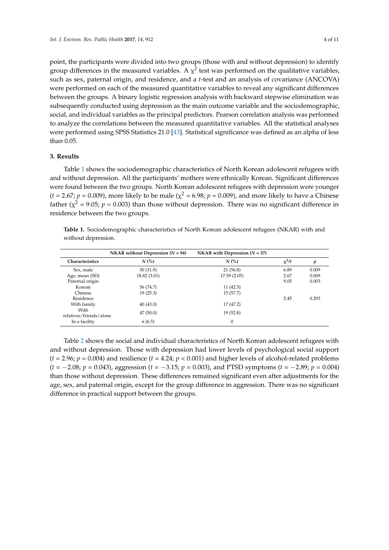point, the participants were divided into two groups (those with and without depression) to identify group differences in the measured variables. A  $\chi^2$  test was performed on the qualitative variables, such as sex, paternal origin, and residence, and a *t*-test and an analysis of covariance (ANCOVA) were performed on each of the measured quantitative variables to reveal any significant differences between the groups. A binary logistic regression analysis with backward stepwise elimination was subsequently conducted using depression as the main outcome variable and the sociodemographic, social, and individual variables as the principal predictors. Pearson correlation analysis was performed to analyze the correlations between the measured quantitative variables. All the statistical analyses were performed using SPSS Statistics 21.0 [\[43\]](#page-9-13). Statistical significance was defined as an alpha of less than 0.05.

# **3. Results**

Table [1](#page-3-0) shows the sociodemographic characteristics of North Korean adolescent refugees with and without depression. All the participants' mothers were ethnically Korean. Significant differences were found between the two groups. North Korean adolescent refugees with depression were younger  $(t = 2.67; p = 0.009)$ , more likely to be male ( $\chi^2 = 6.98; p = 0.009$ ), and more likely to have a Chinese father ( $\chi^2$  = 9.05; *p* = 0.003) than those without depression. There was no significant difference in residence between the two groups.

<span id="page-3-0"></span>**Table 1.** Sociodemographic characteristics of North Korean adolescent refugees (NKAR) with and without depression.

|                                 | NKAR without Depression $(N = 94)$ | NKAR with Depression $(N = 37)$ |         |       |
|---------------------------------|------------------------------------|---------------------------------|---------|-------|
| <b>Characteristics</b>          | $N$ (%)                            | $N$ (%)                         | $x^2/t$ | p     |
| Sex, male                       | 30(31.9)                           | 21(56.8)                        | 6.89    | 0.009 |
| Age, mean (SD)                  | 18.82 (3.01)                       | 17.59(2.05)                     | 2.67    | 0.009 |
| Paternal origin                 |                                    |                                 | 9.05    | 0.003 |
| Korean                          | 56 (74.7)                          | 11(42.3)                        |         |       |
| Chinese                         | 19(25.3)                           | 15(57.7)                        |         |       |
| Residence                       |                                    |                                 | 2.45    | 0.293 |
| With family                     | 40(43.0)                           | 17(47.2)                        |         |       |
| With<br>relatives/friends/alone | 47(50.0)                           | 19(52.8)                        |         |       |
| In a facility                   | 6(6.5)                             | $\theta$                        |         |       |

Table [2](#page-4-0) shows the social and individual characteristics of North Korean adolescent refugees with and without depression. Those with depression had lower levels of psychological social support  $(t = 2.96; p = 0.004)$  and resilience  $(t = 4.24; p < 0.001)$  and higher levels of alcohol-related problems (*t* = −2.08; *p* = 0.043), aggression (*t* = −3.15; *p* = 0.003), and PTSD symptoms (*t* = −2.89; *p* = 0.004) than those without depression. These differences remained significant even after adjustments for the age, sex, and paternal origin, except for the group difference in aggression. There was no significant difference in practical support between the groups.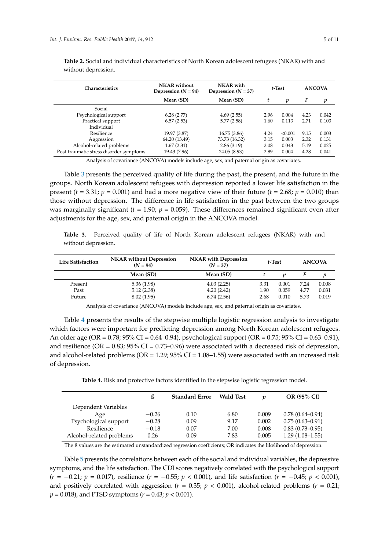| <b>Characteristics</b>                  | <b>NKAR</b> without<br>Depression $(N = 94)$ | <b>NKAR</b> with<br>Depression $(N = 37)$ | $t$ -Test |         | <b>ANCOVA</b> |       |
|-----------------------------------------|----------------------------------------------|-------------------------------------------|-----------|---------|---------------|-------|
|                                         | Mean (SD)                                    | Mean (SD)                                 | p         |         | F             | p     |
| Social                                  |                                              |                                           |           |         |               |       |
| Psychological support                   | 6.28(2.77)                                   | 4.69(2.55)                                | 2.96      | 0.004   | 4.23          | 0.042 |
| Practical support                       | 6.57(2.53)                                   | 5.77(2.58)<br>1.60                        |           | 0.113   | 2.71          | 0.103 |
| Individual                              |                                              |                                           |           |         |               |       |
| Resilience                              | 19.97 (3.87)                                 | 16.75(3.86)                               | 4.24      | < 0.001 | 9.15          | 0.003 |
| Aggression                              | 64.20 (13.49)                                | 73.73 (16.32)                             | 3.15      | 0.003   | 2,32          | 0.131 |
| Alcohol-related problems                | 1.67(2.31)                                   | 2.86(3.19)                                | 2.08      | 0.043   | 5.19          | 0.025 |
| Post-traumatic stress disorder symptoms | 19.43 (7.96)                                 | 24.05 (8.93)                              | 2.89      | 0.004   | 4.28          | 0.041 |

<span id="page-4-0"></span>**Table 2.** Social and individual characteristics of North Korean adolescent refugees (NKAR) with and without depression.

Analysis of covariance (ANCOVA) models include age, sex, and paternal origin as covariates.

Table [3](#page-4-1) presents the perceived quality of life during the past, the present, and the future in the groups. North Korean adolescent refugees with depression reported a lower life satisfaction in the present  $(t = 3.31; p = 0.001)$  and had a more negative view of their future  $(t = 2.68; p = 0.010)$  than those without depression. The difference in life satisfaction in the past between the two groups was marginally significant  $(t = 1.90; p = 0.059)$ . These differences remained significant even after adjustments for the age, sex, and paternal origin in the ANCOVA model.

<span id="page-4-1"></span>**Table 3.** Perceived quality of life of North Korean adolescent refugees (NKAR) with and without depression.

| <b>Life Satisfaction</b> | <b>NKAR</b> without Depression<br>$(N = 94)$ | <b>NKAR</b> with Depression<br>$(N = 37)$ | $t$ -Test |       | <b>ANCOVA</b> |       |
|--------------------------|----------------------------------------------|-------------------------------------------|-----------|-------|---------------|-------|
|                          | Mean (SD)                                    | Mean (SD)                                 |           | n     |               | v     |
| Present                  | 5.36(1.98)                                   | 4.03(2.25)                                | 3.31      | 0.001 | 7.24          | 0.008 |
| Past                     | 5.12(2.38)                                   | 4.20(2.42)                                | 1.90      | 0.059 | 4.77          | 0.031 |
| Future                   | 8.02(1.95)                                   | 6.74(2.56)                                | 2.68      | 0.010 | 5.73          | 0.019 |

Analysis of covariance (ANCOVA) models include age, sex, and paternal origin as covariates.

Table [4](#page-4-2) presents the results of the stepwise multiple logistic regression analysis to investigate which factors were important for predicting depression among North Korean adolescent refugees. An older age (OR = 0.78; 95% CI = 0.64–0.94), psychological support (OR = 0.75; 95% CI = 0.63–0.91), and resilience (OR =  $0.83$ ;  $95\%$  CI =  $0.73-0.96$ ) were associated with a decreased risk of depression, and alcohol-related problems ( $OR = 1.29$ ;  $95\% CI = 1.08$ -1.55) were associated with an increased risk of depression.

**Table 4.** Risk and protective factors identified in the stepwise logistic regression model.

<span id="page-4-2"></span>

|                          | ß       | <b>Standard Error</b> | <b>Wald Test</b> | n     | OR (95% CI)         |
|--------------------------|---------|-----------------------|------------------|-------|---------------------|
| Dependent Variables      |         |                       |                  |       |                     |
| Age                      | $-0.26$ | 0.10                  | 6.80             | 0.009 | $0.78(0.64 - 0.94)$ |
| Psychological support    | $-0.28$ | 0.09                  | 9.17             | 0.002 | $0.75(0.63 - 0.91)$ |
| Resilience               | $-0.18$ | 0.07                  | 7.00             | 0.008 | $0.83(0.73 - 0.95)$ |
| Alcohol-related problems | 0.26    | 0.09                  | 7.83             | 0.005 | $1.29(1.08-1.55)$   |

The ß values are the estimated unstandardized regression coefficients; OR indicates the likelihood of depression.

Table [5](#page-5-0) presents the correlations between each of the social and individual variables, the depressive symptoms, and the life satisfaction. The CDI scores negatively correlated with the psychological support (*r* = −0.21; *p* = 0.017), resilience (*r* = −0.55; *p* < 0.001), and life satisfaction (*r* = −0.45; *p* < 0.001), and positively correlated with aggression ( $r = 0.35$ ;  $p < 0.001$ ), alcohol-related problems ( $r = 0.21$ ; *p* = 0.018), and PTSD symptoms (*r* = 0.43; *p* < 0.001).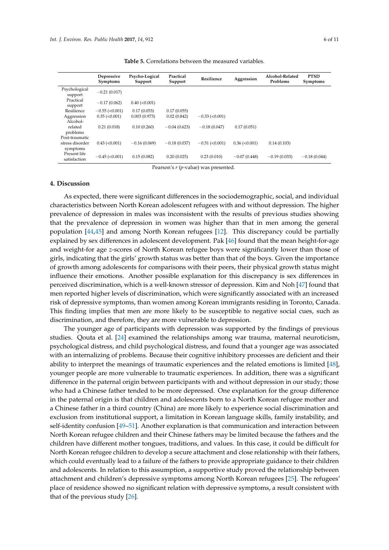<span id="page-5-0"></span>

|                              | Depressive<br>Symptoms | Psycho-Logical<br>Support | Practical<br>Support | Resilience            | Aggression           | Alcohol-Related<br>Problems | <b>PTSD</b><br><b>Symptoms</b> |
|------------------------------|------------------------|---------------------------|----------------------|-----------------------|----------------------|-----------------------------|--------------------------------|
| Psychological<br>support     | $-0.21(0.017)$         |                           |                      |                       |                      |                             |                                |
| Practical<br>support         | $-0.17(0.062)$         | $0.40$ ( $< 0.001$ )      |                      |                       |                      |                             |                                |
| Resilience                   | $-0.55$ ( $< 0.001$ )  | 0.17(0.053)               | 0.17(0.055)          |                       |                      |                             |                                |
| Aggression                   | $0.35 \approx 0.001$   | 0.003(0.973)              | 0.02(0.842)          | $-0.33$ ( $< 0.001$ ) |                      |                             |                                |
| Alcohol-                     |                        |                           |                      |                       |                      |                             |                                |
| related                      | 0.21(0.018)            | 0.10(0.260)               | $-0.04(0.623)$       | $-0.18(0.047)$        | 0.17(0.051)          |                             |                                |
| problems                     |                        |                           |                      |                       |                      |                             |                                |
| Post-traumatic               |                        |                           |                      |                       |                      |                             |                                |
| stress disorder              | $0.43$ ( $< 0.001$ )   | $-0.16(0.069)$            | $-0.18(0.037)$       | $-0.51$ ( $< 0.001$ ) | $0.36 \approx 0.001$ | 0.14(0.103)                 |                                |
| symptoms                     |                        |                           |                      |                       |                      |                             |                                |
| Present life<br>satisfaction | $-0.45$ (<0.001)       | 0.15(0.082)               | 0.20(0.025)          | 0.23(0.010)           | $-0.07(0.448)$       | $-0.19(0.033)$              | $-0.18(0.044)$                 |

**Table 5.** Correlations between the measured variables.

Pearson's *r* (*p*-value) was presented.

# **4. Discussion**

As expected, there were significant differences in the sociodemographic, social, and individual characteristics between North Korean adolescent refugees with and without depression. The higher prevalence of depression in males was inconsistent with the results of previous studies showing that the prevalence of depression in women was higher than that in men among the general population [\[44,](#page-9-14)[45\]](#page-9-15) and among North Korean refugees [\[12\]](#page-8-4). This discrepancy could be partially explained by sex differences in adolescent development. Pak [\[46\]](#page-9-16) found that the mean height-for-age and weight-for age *z*-scores of North Korean refugee boys were significantly lower than those of girls, indicating that the girls' growth status was better than that of the boys. Given the importance of growth among adolescents for comparisons with their peers, their physical growth status might influence their emotions. Another possible explanation for this discrepancy is sex differences in perceived discrimination, which is a well-known stressor of depression. Kim and Noh [\[47\]](#page-9-17) found that men reported higher levels of discrimination, which were significantly associated with an increased risk of depressive symptoms, than women among Korean immigrants residing in Toronto, Canada. This finding implies that men are more likely to be susceptible to negative social cues, such as discrimination, and therefore, they are more vulnerable to depression.

The younger age of participants with depression was supported by the findings of previous studies. Qouta et al. [\[24\]](#page-8-11) examined the relationships among war trauma, maternal neuroticism, psychological distress, and child psychological distress, and found that a younger age was associated with an internalizing of problems. Because their cognitive inhibitory processes are deficient and their ability to interpret the meanings of traumatic experiences and the related emotions is limited [\[48\]](#page-9-18), younger people are more vulnerable to traumatic experiences. In addition, there was a significant difference in the paternal origin between participants with and without depression in our study; those who had a Chinese father tended to be more depressed. One explanation for the group difference in the paternal origin is that children and adolescents born to a North Korean refugee mother and a Chinese father in a third country (China) are more likely to experience social discrimination and exclusion from institutional support, a limitation in Korean language skills, family instability, and self-identity confusion [\[49–](#page-9-19)[51\]](#page-9-20). Another explanation is that communication and interaction between North Korean refugee children and their Chinese fathers may be limited because the fathers and the children have different mother tongues, traditions, and values. In this case, it could be difficult for North Korean refugee children to develop a secure attachment and close relationship with their fathers, which could eventually lead to a failure of the fathers to provide appropriate guidance to their children and adolescents. In relation to this assumption, a supportive study proved the relationship between attachment and children's depressive symptoms among North Korean refugees [\[25\]](#page-8-12). The refugees' place of residence showed no significant relation with depressive symptoms, a result consistent with that of the previous study [\[26\]](#page-8-15).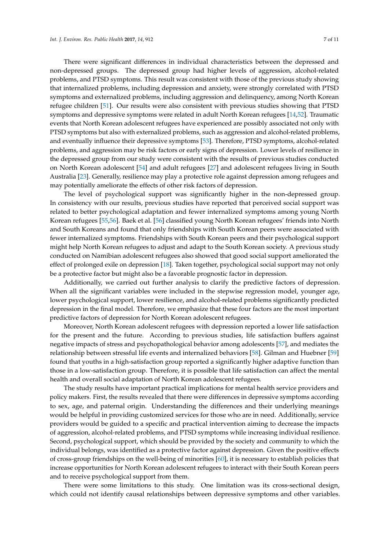There were significant differences in individual characteristics between the depressed and non-depressed groups. The depressed group had higher levels of aggression, alcohol-related problems, and PTSD symptoms. This result was consistent with those of the previous study showing that internalized problems, including depression and anxiety, were strongly correlated with PTSD symptoms and externalized problems, including aggression and delinquency, among North Korean refugee children [\[51\]](#page-9-20). Our results were also consistent with previous studies showing that PTSD symptoms and depressive symptoms were related in adult North Korean refugees [\[14](#page-8-14)[,52\]](#page-9-21). Traumatic events that North Korean adolescent refugees have experienced are possibly associated not only with PTSD symptoms but also with externalized problems, such as aggression and alcohol-related problems, and eventually influence their depressive symptoms [\[53\]](#page-9-22). Therefore, PTSD symptoms, alcohol-related problems, and aggression may be risk factors or early signs of depression. Lower levels of resilience in the depressed group from our study were consistent with the results of previous studies conducted on North Korean adolescent [\[54\]](#page-9-23) and adult refugees [\[27\]](#page-8-16) and adolescent refugees living in South Australia [\[23\]](#page-8-10). Generally, resilience may play a protective role against depression among refugees and may potentially ameliorate the effects of other risk factors of depression.

The level of psychological support was significantly higher in the non-depressed group. In consistency with our results, previous studies have reported that perceived social support was related to better psychological adaptation and fewer internalized symptoms among young North Korean refugees [\[55](#page-10-0)[,56\]](#page-10-1). Baek et al. [\[56\]](#page-10-1) classified young North Korean refugees' friends into North and South Koreans and found that only friendships with South Korean peers were associated with fewer internalized symptoms. Friendships with South Korean peers and their psychological support might help North Korean refugees to adjust and adapt to the South Korean society. A previous study conducted on Namibian adolescent refugees also showed that good social support ameliorated the effect of prolonged exile on depression [\[18\]](#page-8-13). Taken together, psychological social support may not only be a protective factor but might also be a favorable prognostic factor in depression.

Additionally, we carried out further analysis to clarify the predictive factors of depression. When all the significant variables were included in the stepwise regression model, younger age, lower psychological support, lower resilience, and alcohol-related problems significantly predicted depression in the final model. Therefore, we emphasize that these four factors are the most important predictive factors of depression for North Korean adolescent refugees.

Moreover, North Korean adolescent refugees with depression reported a lower life satisfaction for the present and the future. According to previous studies, life satisfaction buffers against negative impacts of stress and psychopathological behavior among adolescents [\[57\]](#page-10-2), and mediates the relationship between stressful life events and internalized behaviors [\[58\]](#page-10-3). Gilman and Huebner [\[59\]](#page-10-4) found that youths in a high-satisfaction group reported a significantly higher adaptive function than those in a low-satisfaction group. Therefore, it is possible that life satisfaction can affect the mental health and overall social adaptation of North Korean adolescent refugees.

The study results have important practical implications for mental health service providers and policy makers. First, the results revealed that there were differences in depressive symptoms according to sex, age, and paternal origin. Understanding the differences and their underlying meanings would be helpful in providing customized services for those who are in need. Additionally, service providers would be guided to a specific and practical intervention aiming to decrease the impacts of aggression, alcohol-related problems, and PTSD symptoms while increasing individual resilience. Second, psychological support, which should be provided by the society and community to which the individual belongs, was identified as a protective factor against depression. Given the positive effects of cross-group friendships on the well-being of minorities [\[60\]](#page-10-5), it is necessary to establish policies that increase opportunities for North Korean adolescent refugees to interact with their South Korean peers and to receive psychological support from them.

There were some limitations to this study. One limitation was its cross-sectional design, which could not identify causal relationships between depressive symptoms and other variables.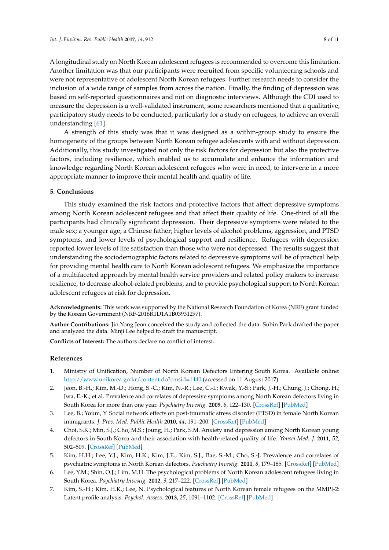A longitudinal study on North Korean adolescent refugees is recommended to overcome this limitation. Another limitation was that our participants were recruited from specific volunteering schools and were not representative of adolescent North Korean refugees. Further research needs to consider the inclusion of a wide range of samples from across the nation. Finally, the finding of depression was based on self-reported questionnaires and not on diagnostic interviews. Although the CDI used to measure the depression is a well-validated instrument, some researchers mentioned that a qualitative, participatory study needs to be conducted, particularly for a study on refugees, to achieve an overall

understanding [\[61\]](#page-10-6).

A strength of this study was that it was designed as a within-group study to ensure the homogeneity of the groups between North Korean refugee adolescents with and without depression. Additionally, this study investigated not only the risk factors for depression but also the protective factors, including resilience, which enabled us to accumulate and enhance the information and knowledge regarding North Korean adolescent refugees who were in need, to intervene in a more appropriate manner to improve their mental health and quality of life.

# **5. Conclusions**

This study examined the risk factors and protective factors that affect depressive symptoms among North Korean adolescent refugees and that affect their quality of life. One-third of all the participants had clinically significant depression. Their depressive symptoms were related to the male sex; a younger age; a Chinese father; higher levels of alcohol problems, aggression, and PTSD symptoms; and lower levels of psychological support and resilience. Refugees with depression reported lower levels of life satisfaction than those who were not depressed. The results suggest that understanding the sociodemographic factors related to depressive symptoms will be of practical help for providing mental health care to North Korean adolescent refugees. We emphasize the importance of a multifaceted approach by mental health service providers and related policy makers to increase resilience, to decrease alcohol-related problems, and to provide psychological support to North Korean adolescent refugees at risk for depression.

**Acknowledgments:** This work was supported by the National Research Foundation of Korea (NRF) grant funded by the Korean Government (NRF-2016R1D1A1B03931297).

**Author Contributions:** Jin Yong Jeon conceived the study and collected the data. Subin Park drafted the paper and analyzed the data. Minji Lee helped to draft the manuscript.

**Conflicts of Interest:** The authors declare no conflict of interest.

## **References**

- <span id="page-7-0"></span>1. Ministry of Unification, Number of North Korean Defectors Entering South Korea. Available online: <http://www.unikorea.go.kr/content.do?cmsid=1440> (accessed on 11 August 2017).
- <span id="page-7-1"></span>2. Jeon, B.-H.; Kim, M.-D.; Hong, S.-C.; Kim, N.-R.; Lee, C.-I.; Kwak, Y.-S.; Park, J.-H.; Chung, J.; Chong, H.; Jwa, E.-K.; et al. Prevalence and correlates of depressive symptoms among North Korean defectors living in South Korea for more than one year. *Psychiatry Investig.* **2009**, *6*, 122–130. [\[CrossRef\]](http://dx.doi.org/10.4306/pi.2009.6.3.122) [\[PubMed\]](http://www.ncbi.nlm.nih.gov/pubmed/20046386)
- 3. Lee, B.; Youm, Y. Social network effects on post-traumatic stress disorder (PTSD) in female North Korean immigrants. *J. Prev. Med. Public Health* **2010**, *44*, 191–200. [\[CrossRef\]](http://dx.doi.org/10.3961/jpmph.2011.44.5.191) [\[PubMed\]](http://www.ncbi.nlm.nih.gov/pubmed/22020184)
- <span id="page-7-3"></span>4. Choi, S.K.; Min, S.J.; Cho, M.S.; Joung, H.; Park, S.M. Anxiety and depression among North Korean young defectors in South Korea and their association with health-related quality of life. *Yonsei Med. J.* **2011**, *52*, 502–509. [\[CrossRef\]](http://dx.doi.org/10.3349/ymj.2011.52.3.502) [\[PubMed\]](http://www.ncbi.nlm.nih.gov/pubmed/21488195)
- <span id="page-7-2"></span>5. Kim, H.H.; Lee, Y.J.; Kim, H.K.; Kim, J.E.; Kim, S.J.; Bae, S.-M.; Cho, S.-J. Prevalence and correlates of psychiatric symptoms in North Korean defectors. *Psychiatry Investig.* **2011**, *8*, 179–185. [\[CrossRef\]](http://dx.doi.org/10.4306/pi.2011.8.3.179) [\[PubMed\]](http://www.ncbi.nlm.nih.gov/pubmed/21994503)
- <span id="page-7-4"></span>6. Lee, Y.M.; Shin, O.J.; Lim, M.H. The psychological problems of North Korean adolescent refugees living in South Korea. *Psychiatry Investig.* **2012**, *9*, 217–222. [\[CrossRef\]](http://dx.doi.org/10.4306/pi.2012.9.3.217) [\[PubMed\]](http://www.ncbi.nlm.nih.gov/pubmed/22993519)
- 7. Kim, S.-H.; Kim, H.K.; Lee, N. Psychological features of North Korean female refugees on the MMPI-2: Latent profile analysis. *Psychol. Assess.* **2013**, *25*, 1091–1102. [\[CrossRef\]](http://dx.doi.org/10.1037/a0033097) [\[PubMed\]](http://www.ncbi.nlm.nih.gov/pubmed/23730825)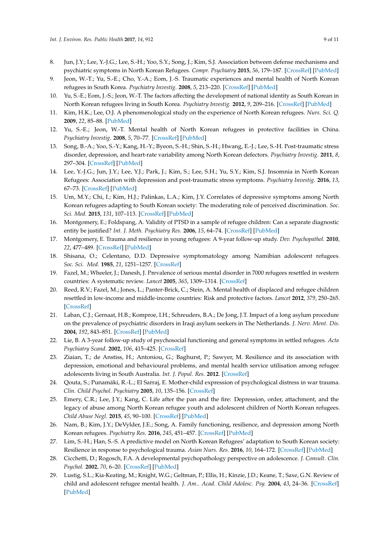- <span id="page-8-3"></span>8. Jun, J.Y.; Lee, Y.-J.G.; Lee, S.-H.; Yoo, S.Y.; Song, J.; Kim, S.J. Association between defense mechanisms and psychiatric symptoms in North Korean Refugees. *Compr. Psychiatry* **2015**, *56*, 179–187. [\[CrossRef\]](http://dx.doi.org/10.1016/j.comppsych.2014.10.001) [\[PubMed\]](http://www.ncbi.nlm.nih.gov/pubmed/25459417)
- <span id="page-8-0"></span>9. Jeon, W.-T.; Yu, S.-E.; Cho, Y.-A.; Eom, J.-S. Traumatic experiences and mental health of North Korean refugees in South Korea. *Psychiatry Investig.* **2008**, *5*, 213–220. [\[CrossRef\]](http://dx.doi.org/10.4306/pi.2008.5.4.213) [\[PubMed\]](http://www.ncbi.nlm.nih.gov/pubmed/20046340)
- <span id="page-8-1"></span>10. Yu, S.-E.; Eom, J.-S.; Jeon, W.-T. The factors affecting the development of national identity as South Korean in North Korean refugees living in South Korea. *Psychiatry Investig.* **2012**, *9*, 209–216. [\[CrossRef\]](http://dx.doi.org/10.4306/pi.2012.9.3.209) [\[PubMed\]](http://www.ncbi.nlm.nih.gov/pubmed/22993518)
- <span id="page-8-2"></span>11. Kim, H.K.; Lee, O.J. A phenomenological study on the experience of North Korean refugees. *Nurs. Sci. Q.* **2009**, *22*, 85–88. [\[PubMed\]](http://www.ncbi.nlm.nih.gov/pubmed/19176865)
- <span id="page-8-4"></span>12. Yu, S.-E.; Jeon, W.-T. Mental health of North Korean refugees in protective facilities in China. *Psychiatry Investig.* **2008**, *5*, 70–77. [\[CrossRef\]](http://dx.doi.org/10.4306/pi.2008.5.2.70) [\[PubMed\]](http://www.ncbi.nlm.nih.gov/pubmed/20046348)
- <span id="page-8-5"></span>13. Song, B.-A.; Yoo, S.-Y.; Kang, H.-Y.; Byeon, S.-H.; Shin, S.-H.; Hwang, E.-J.; Lee, S.-H. Post-traumatic stress disorder, depression, and heart-rate variability among North Korean defectors. *Psychiatry Investig.* **2011**, *8*, 297–304. [\[CrossRef\]](http://dx.doi.org/10.4306/pi.2011.8.4.297) [\[PubMed\]](http://www.ncbi.nlm.nih.gov/pubmed/22216038)
- <span id="page-8-14"></span>14. Lee, Y.-J.G.; Jun, J.Y.; Lee, Y.J.; Park, J.; Kim, S.; Lee, S.H.; Yu, S.Y.; Kim, S.J. Insomnia in North Korean Refugees: Association with depression and post-traumatic stress symptoms. *Psychiatry Investig.* **2016**, *13*, 67–73. [\[CrossRef\]](http://dx.doi.org/10.4306/pi.2016.13.1.67) [\[PubMed\]](http://www.ncbi.nlm.nih.gov/pubmed/26766948)
- <span id="page-8-6"></span>15. Um, M.Y.; Chi, I.; Kim, H.J.; Palinkas, L.A.; Kim, J.Y. Correlates of depressive symptoms among North Korean refugees adapting to South Korean society: The moderating role of perceived discrimination. *Soc. Sci. Med.* **2015**, *131*, 107–113. [\[CrossRef\]](http://dx.doi.org/10.1016/j.socscimed.2015.02.039) [\[PubMed\]](http://www.ncbi.nlm.nih.gov/pubmed/25769109)
- <span id="page-8-7"></span>16. Montgomery, E.; Foldspang, A. Validity of PTSD in a sample of refugee children: Can a separate diagnostic entity be justified? *Int. J. Meth. Psychiatry Res.* **2006**, *15*, 64–74. [\[CrossRef\]](http://dx.doi.org/10.1002/mpr.186) [\[PubMed\]](http://www.ncbi.nlm.nih.gov/pubmed/19722287)
- 17. Montgomery, E. Trauma and resilience in young refugees: A 9-year follow-up study. *Dev. Psychopathol.* **2010**, *22*, 477–489. [\[CrossRef\]](http://dx.doi.org/10.1017/S0954579410000180) [\[PubMed\]](http://www.ncbi.nlm.nih.gov/pubmed/20423554)
- <span id="page-8-13"></span>18. Shisana, O.; Celentano, D.D. Depressive symptomatology among Namibian adolescent refugees. *Soc. Sci. Med.* **1985**, *21*, 1251–1257. [\[CrossRef\]](http://dx.doi.org/10.1016/0277-9536(85)90274-6)
- 19. Fazel, M.; Wheeler, J.; Danesh, J. Prevalence of serious mental disorder in 7000 refugees resettled in western countries: A systematic review. *Lancet* **2005**, *365*, 1309–1314. [\[CrossRef\]](http://dx.doi.org/10.1016/S0140-6736(05)61027-6)
- <span id="page-8-8"></span>20. Reed, R.V.; Fazel, M.; Jones, L.; Panter-Brick, C.; Stein, A. Mental health of displaced and refugee children resettled in low-income and middle-income countries: Risk and protective factors. *Lancet* **2012**, *379*, 250–265. [\[CrossRef\]](http://dx.doi.org/10.1016/S0140-6736(11)60050-0)
- <span id="page-8-9"></span>21. Laban, C.J.; Gernaat, H.B.; Komproe, I.H.; Schreuders, B.A.; De Jong, J.T. Impact of a long asylum procedure on the prevalence of psychiatric disorders in Iraqi asylum seekers in The Netherlands. *J. Nerv. Ment. Dis.* **2004**, *192*, 843–851. [\[CrossRef\]](http://dx.doi.org/10.1097/01.nmd.0000146739.26187.15) [\[PubMed\]](http://www.ncbi.nlm.nih.gov/pubmed/15583506)
- 22. Lie, B. A 3-year follow-up study of psychosocial functioning and general symptoms in settled refugees. *Acta Psychiatry Scand.* **2002**, *106*, 415–425. [\[CrossRef\]](http://dx.doi.org/10.1034/j.1600-0447.2002.01436.x)
- <span id="page-8-10"></span>23. Ziaian, T.; de Anstiss, H.; Antoniou, G.; Baghurst, P.; Sawyer, M. Resilience and its association with depression, emotional and behavioural problems, and mental health service utilisation among refugee adolescents living in South Australia. *Int. J. Popul. Res.* **2012**. [\[CrossRef\]](http://dx.doi.org/10.1155/2012/485956)
- <span id="page-8-11"></span>24. Qouta, S.; Punamäki, R.-L.; El Sarraj, E. Mother-child expression of psychological distress in war trauma. *Clin. Child Psychol. Psychiatry* **2005**, *10*, 135–156. [\[CrossRef\]](http://dx.doi.org/10.1177/1359104505051208)
- <span id="page-8-12"></span>25. Emery, C.R.; Lee, J.Y.; Kang, C. Life after the pan and the fire: Depression, order, attachment, and the legacy of abuse among North Korean refugee youth and adolescent children of North Korean refugees. *Child Abuse Negl.* **2015**, *45*, 90–100. [\[CrossRef\]](http://dx.doi.org/10.1016/j.chiabu.2015.02.002) [\[PubMed\]](http://www.ncbi.nlm.nih.gov/pubmed/25712047)
- <span id="page-8-15"></span>26. Nam, B.; Kim, J.Y.; DeVylder, J.E.; Song, A. Family functioning, resilience, and depression among North Korean refugees. *Psychiatry Res.* **2016**, *245*, 451–457. [\[CrossRef\]](http://dx.doi.org/10.1016/j.psychres.2016.08.063) [\[PubMed\]](http://www.ncbi.nlm.nih.gov/pubmed/27620328)
- <span id="page-8-16"></span>27. Lim, S.-H.; Han, S.-S. A predictive model on North Korean Refugees' adaptation to South Korean society: Resilience in response to psychological trauma. *Asian Nurs. Res.* **2016**, *10*, 164–172. [\[CrossRef\]](http://dx.doi.org/10.1016/j.anr.2016.04.003) [\[PubMed\]](http://www.ncbi.nlm.nih.gov/pubmed/27349675)
- <span id="page-8-17"></span>28. Cicchetti, D.; Rogosch, F.A. A developmental psychopathology perspective on adolescence. *J. Consult. Clin. Psychol.* **2002**, *70*, 6–20. [\[CrossRef\]](http://dx.doi.org/10.1037/0022-006X.70.1.6) [\[PubMed\]](http://www.ncbi.nlm.nih.gov/pubmed/11860057)
- <span id="page-8-18"></span>29. Lustig, S.L.; Kia-Keating, M.; Knight, W.G.; Geltman, P.; Ellis, H.; Kinzie, J.D.; Keane, T.; Saxe, G.N. Review of child and adolescent refugee mental health. *J. Am.. Acad. Child Adolesc. Psy.* **2004**, *43*, 24–36. [\[CrossRef\]](http://dx.doi.org/10.1097/00004583-200401000-00012) [\[PubMed\]](http://www.ncbi.nlm.nih.gov/pubmed/14691358)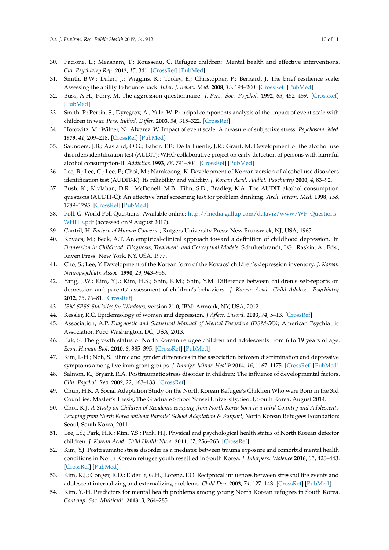- <span id="page-9-0"></span>30. Pacione, L.; Measham, T.; Rousseau, C. Refugee children: Mental health and effective interventions. *Cur. Psychiatry Rep.* **2013**, *15*, 341. [\[CrossRef\]](http://dx.doi.org/10.1007/s11920-012-0341-4) [\[PubMed\]](http://www.ncbi.nlm.nih.gov/pubmed/23307563)
- <span id="page-9-1"></span>31. Smith, B.W.; Dalen, J.; Wiggins, K.; Tooley, E.; Christopher, P.; Bernard, J. The brief resilience scale: Assessing the ability to bounce back. *Inter. J. Behav. Med.* **2008**, *15*, 194–200. [\[CrossRef\]](http://dx.doi.org/10.1080/10705500802222972) [\[PubMed\]](http://www.ncbi.nlm.nih.gov/pubmed/18696313)
- <span id="page-9-2"></span>32. Buss, A.H.; Perry, M. The aggression questionnaire. *J. Pers. Soc. Psychol.* **1992**, *63*, 452–459. [\[CrossRef\]](http://dx.doi.org/10.1037/0022-3514.63.3.452) [\[PubMed\]](http://www.ncbi.nlm.nih.gov/pubmed/1403624)
- <span id="page-9-3"></span>33. Smith, P.; Perrin, S.; Dyregrov, A.; Yule, W. Principal components analysis of the impact of event scale with children in war. *Pers. Indivd. Differ.* **2003**, *34*, 315–322. [\[CrossRef\]](http://dx.doi.org/10.1016/S0191-8869(02)00047-8)
- <span id="page-9-4"></span>34. Horowitz, M.; Wilner, N.; Alvarez, W. Impact of event scale: A measure of subjective stress. *Psychosom. Med.* **1979**, *41*, 209–218. [\[CrossRef\]](http://dx.doi.org/10.1097/00006842-197905000-00004) [\[PubMed\]](http://www.ncbi.nlm.nih.gov/pubmed/472086)
- <span id="page-9-5"></span>35. Saunders, J.B.; Aasland, O.G.; Babor, T.F.; De la Fuente, J.R.; Grant, M. Development of the alcohol use disorders identification test (AUDIT): WHO collaborative project on early detection of persons with harmful alcohol consumption-II. *Addiction* **1993**, *88*, 791–804. [\[CrossRef\]](http://dx.doi.org/10.1111/j.1360-0443.1993.tb02093.x) [\[PubMed\]](http://www.ncbi.nlm.nih.gov/pubmed/8329970)
- <span id="page-9-6"></span>36. Lee, B.; Lee, C.; Lee, P.; Choi, M.; Namkoong, K. Development of Korean version of alcohol use disorders identification test (AUDIT-K): Its reliability and validity. *J. Korean Acad. Addict. Psychiatry* **2000**, *4*, 83–92.
- <span id="page-9-7"></span>37. Bush, K.; Kivlahan, D.R.; McDonell, M.B.; Fihn, S.D.; Bradley, K.A. The AUDIT alcohol consumption questions (AUDIT-C): An effective brief screening test for problem drinking. *Arch. Intern. Med.* **1998**, *158*, 1789–1795. [\[CrossRef\]](http://dx.doi.org/10.1001/archinte.158.16.1789) [\[PubMed\]](http://www.ncbi.nlm.nih.gov/pubmed/9738608)
- <span id="page-9-8"></span>38. Poll, G. World Poll Questions. Available online: [http://media.gallup.com/dataviz/www/WP\\_Questions\\_](http://media.gallup.com/dataviz/www/WP_Questions_WHITE.pdf) [WHITE.pdf](http://media.gallup.com/dataviz/www/WP_Questions_WHITE.pdf) (accessed on 9 August 2017).
- <span id="page-9-9"></span>39. Cantril, H. *Pattern of Human Concerns*; Rutgers University Press: New Brunswick, NJ, USA, 1965.
- <span id="page-9-10"></span>40. Kovacs, M.; Beck, A.T. An empirical-clinical approach toward a definition of childhood depression. In *Depression in Childhood: Diagnosis, Treatment, and Conceptual Models*; Schulterbrandt, J.G., Raskin, A., Eds.; Raven Press: New York, NY, USA, 1977.
- <span id="page-9-11"></span>41. Cho, S.; Lee, Y. Development of the Korean form of the Kovacs' children's depression inventory. *J. Korean Neuropsychiatr. Assoc.* **1990**, *29*, 943–956.
- <span id="page-9-12"></span>42. Yang, J.W.; Kim, Y.J.; Kim, H.S.; Shin, K.M.; Shin, Y.M. Difference between children's self-reports on depression and parents' assessment of children's behaviors. *J. Korean Acad. Child Adolesc. Psychiatry* **2012**, *23*, 76–81. [\[CrossRef\]](http://dx.doi.org/10.5765/jkacap.2012.23.2.76)
- <span id="page-9-13"></span>43. *IBM SPSS Statistics for Windows*, version 21.0; IBM: Armonk, NY, USA, 2012.
- <span id="page-9-15"></span><span id="page-9-14"></span>44. Kessler, R.C. Epidemiology of women and depression. *J Affect. Disord.* **2003**, *74*, 5–13. [\[CrossRef\]](http://dx.doi.org/10.1016/S0165-0327(02)00426-3)
- 45. Association, A.P. *Diagnostic and Statistical Manual of Mental Disorders (DSM-5®)*; American Psychiatric Association Pub.: Washington, DC, USA, 2013.
- <span id="page-9-16"></span>46. Pak, S. The growth status of North Korean refugee children and adolescents from 6 to 19 years of age. *Econ. Human Biol.* **2010**, *8*, 385–395. [\[CrossRef\]](http://dx.doi.org/10.1016/j.ehb.2010.05.006) [\[PubMed\]](http://www.ncbi.nlm.nih.gov/pubmed/20646970)
- <span id="page-9-17"></span>47. Kim, I.-H.; Noh, S. Ethnic and gender differences in the association between discrimination and depressive symptoms among five immigrant groups. *J. Immigr. Minor. Health* **2014**, *16*, 1167–1175. [\[CrossRef\]](http://dx.doi.org/10.1007/s10903-013-9969-3) [\[PubMed\]](http://www.ncbi.nlm.nih.gov/pubmed/24375383)
- <span id="page-9-18"></span>48. Salmon, K.; Bryant, R.A. Posttraumatic stress disorder in children: The influence of developmental factors. *Clin. Psychol. Rev.* **2002**, *22*, 163–188. [\[CrossRef\]](http://dx.doi.org/10.1016/S0272-7358(01)00086-1)
- <span id="page-9-19"></span>49. Chun, H.R. A Social Adaptation Study on the North Korean Refugee's Children Who were Born in the 3rd Countries. Master's Thesis, The Graduate School Yonsei University, Seoul, South Korea, August 2014.
- 50. Choi, K.J. *A Study on Children of Residents escaping from North Korea born in a third Country and Adolescents Escaping from North Korea without Parents' School Adaptation & Support*; North Korean Refugees Foundation: Seoul, South Korea, 2011.
- <span id="page-9-20"></span>51. Lee, I.S.; Park, H.R.; Kim, Y.S.; Park, H.J. Physical and psychological health status of North Korean defector children. *J. Korean Acad. Child Health Nurs.* **2011**, *17*, 256–263. [\[CrossRef\]](http://dx.doi.org/10.4094/jkachn.2011.17.4.256)
- <span id="page-9-21"></span>52. Kim, Y.J. Posttraumatic stress disorder as a mediator between trauma exposure and comorbid mental health conditions in North Korean refugee youth resettled in South Korea. *J. Interpers. Violence* **2016**, *31*, 425–443. [\[CrossRef\]](http://dx.doi.org/10.1177/0886260514555864) [\[PubMed\]](http://www.ncbi.nlm.nih.gov/pubmed/25381279)
- <span id="page-9-22"></span>53. Kim, K.J.; Conger, R.D.; Elder Jr, G.H.; Lorenz, F.O. Reciprocal influences between stressful life events and adolescent internalizing and externalizing problems. *Child Dev.* **2003**, *74*, 127–143. [\[CrossRef\]](http://dx.doi.org/10.1111/1467-8624.00525) [\[PubMed\]](http://www.ncbi.nlm.nih.gov/pubmed/12625440)
- <span id="page-9-23"></span>54. Kim, Y.-H. Predictors for mental health problems among young North Korean refugees in South Korea. *Contemp. Soc. Multicult.* **2013**, *3*, 264–285.